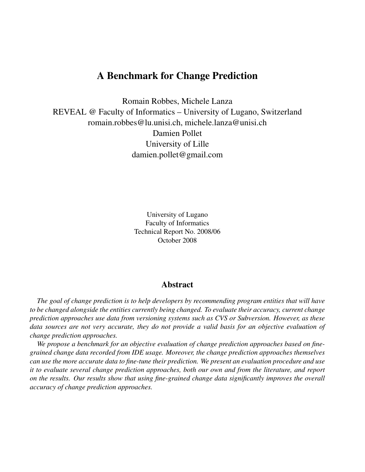# A Benchmark for Change Prediction

Romain Robbes, Michele Lanza REVEAL @ Faculty of Informatics – University of Lugano, Switzerland romain.robbes@lu.unisi.ch, michele.lanza@unisi.ch Damien Pollet University of Lille damien.pollet@gmail.com

> University of Lugano Faculty of Informatics Technical Report No. 2008/06 October 2008

# Abstract

*The goal of change prediction is to help developers by recommending program entities that will have to be changed alongside the entities currently being changed. To evaluate their accuracy, current change prediction approaches use data from versioning systems such as CVS or Subversion. However, as these data sources are not very accurate, they do not provide a valid basis for an objective evaluation of change prediction approaches.*

*We propose a benchmark for an objective evaluation of change prediction approaches based on finegrained change data recorded from IDE usage. Moreover, the change prediction approaches themselves can use the more accurate data to fine-tune their prediction. We present an evaluation procedure and use it to evaluate several change prediction approaches, both our own and from the literature, and report on the results. Our results show that using fine-grained change data significantly improves the overall accuracy of change prediction approaches.*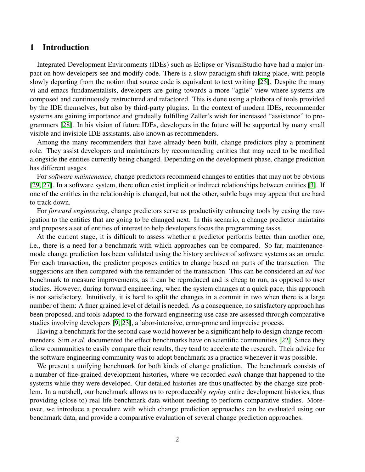# 1 Introduction

Integrated Development Environments (IDEs) such as Eclipse or VisualStudio have had a major impact on how developers see and modify code. There is a slow paradigm shift taking place, with people slowly departing from the notion that source code is equivalent to text writing [\[25\]](#page-17-0). Despite the many vi and emacs fundamentalists, developers are going towards a more "agile" view where systems are composed and continuously restructured and refactored. This is done using a plethora of tools provided by the IDE themselves, but also by third-party plugins. In the context of modern IDEs, recommender systems are gaining importance and gradually fulfilling Zeller's wish for increased "assistance" to programmers [\[28\]](#page-17-1). In his vision of future IDEs, developers in the future will be supported by many small visible and invisible IDE assistants, also known as recommenders.

Among the many recommenders that have already been built, change predictors play a prominent role. They assist developers and maintainers by recommending entities that may need to be modified alongside the entities currently being changed. Depending on the development phase, change prediction has different usages.

For *software maintenance*, change predictors recommend changes to entities that may not be obvious [\[29,](#page-17-2) [27\]](#page-17-3). In a software system, there often exist implicit or indirect relationships between entities [\[3\]](#page-16-0). If one of the entities in the relationship is changed, but not the other, subtle bugs may appear that are hard to track down.

For *forward engineering*, change predictors serve as productivity enhancing tools by easing the navigation to the entities that are going to be changed next. In this scenario, a change predictor maintains and proposes a set of entities of interest to help developers focus the programming tasks.

At the current stage, it is difficult to assess whether a predictor performs better than another one, i.e., there is a need for a benchmark with which approaches can be compared. So far, maintenancemode change prediction has been validated using the history archives of software systems as an oracle. For each transaction, the predictor proposes entities to change based on parts of the transaction. The suggestions are then compared with the remainder of the transaction. This can be considered an *ad hoc* benchmark to measure improvements, as it can be reproduced and is cheap to run, as opposed to user studies. However, during forward engineering, when the system changes at a quick pace, this approach is not satisfactory. Intuitively, it is hard to split the changes in a commit in two when there is a large number of them: A finer grained level of detail is needed. As a consequence, no satisfactory approach has been proposed, and tools adapted to the forward engineering use case are assessed through comparative studies involving developers [\[9,](#page-17-4) [23\]](#page-17-5), a labor-intensive, error-prone and imprecise process.

Having a benchmark for the second case would however be a significant help to design change recommenders. Sim *et al.* documented the effect benchmarks have on scientific communities [\[22\]](#page-17-6). Since they allow communities to easily compare their results, they tend to accelerate the research. Their advice for the software engineering community was to adopt benchmark as a practice whenever it was possible.

We present a unifying benchmark for both kinds of change prediction. The benchmark consists of a number of fine-grained development histories, where we recorded *each* change that happened to the systems while they were developed. Our detailed histories are thus unaffected by the change size problem. In a nutshell, our benchmark allows us to reproduceably *replay* entire development histories, thus providing (close to) real life benchmark data without needing to perform comparative studies. Moreover, we introduce a procedure with which change prediction approaches can be evaluated using our benchmark data, and provide a comparative evaluation of several change prediction approaches.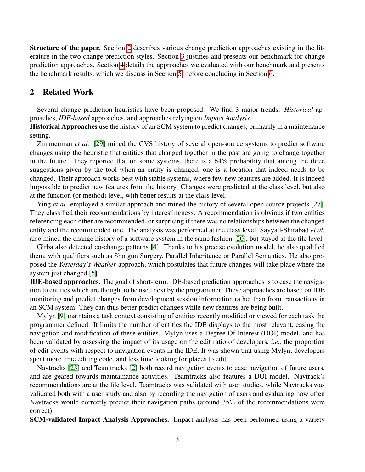Structure of the paper. Section [2](#page-2-0) describes various change prediction approaches existing in the literature in the two change prediction styles. Section [3](#page-3-0) justifies and presents our benchmark for change prediction approaches. Section [4](#page-7-0) details the approaches we evaluated with our benchmark and presents the benchmark results, which we discuss in Section [5,](#page-14-0) before concluding in Section [6.](#page-16-1)

# <span id="page-2-0"></span>2 Related Work

Several change prediction heuristics have been proposed. We find 3 major trends: *Historical* approaches, *IDE-based* approaches, and approaches relying on *Impact Analysis*.

Historical Approaches use the history of an SCM system to predict changes, primarily in a maintenance setting.

Zimmerman *et al.* [\[29\]](#page-17-2) mined the CVS history of several open-source systems to predict software changes using the heuristic that entities that changed together in the past are going to change together in the future. They reported that on some systems, there is a 64% probability that among the three suggestions given by the tool when an entity is changed, one is a location that indeed needs to be changed. Their approach works best with stable systems, where few new features are added. It is indeed impossible to predict new features from the history. Changes were predicted at the class level, but also at the function (or method) level, with better results at the class level.

Ying *et al.* employed a similar approach and mined the history of several open source projects [\[27\]](#page-17-3). They classified their recommendations by interestingness: A recommendation is obvious if two entities referencing each other are recommended, or surprising if there was no relationships between the changed entity and the recommended one. The analysis was performed at the class level. Sayyad-Shirabad *et al.* also mined the change history of a software system in the same fashion [\[20\]](#page-17-7), but stayed at the file level.

Girba also detected co-change patterns [\[4\]](#page-16-2). Thanks to his precise evolution model, he also qualified them, with qualifiers such as Shotgun Surgery, Parallel Inheritance or Parallel Semantics. He also proposed the *Yesterday's Weather* approach, which postulates that future changes will take place where the system just changed [\[5\]](#page-16-3).

IDE-based approaches. The goal of short-term, IDE-based prediction approaches is to ease the navigation to entities which are thought to be used next by the programmer. These approaches are based on IDE monitoring and predict changes from development session information rather than from transactions in an SCM system. They can thus better predict changes while new features are being built.

Mylyn [\[9\]](#page-17-4) maintains a task context consisting of entities recently modified or viewed for each task the programmer defined. It limits the number of entities the IDE displays to the most relevant, easing the navigation and modification of these entities. Mylyn uses a Degree Of Interest (DOI) model, and has been validated by assessing the impact of its usage on the edit ratio of developers, *i.e.,* the proportion of edit events with respect to navigation events in the IDE. It was shown that using Mylyn, developers spent more time editing code, and less time looking for places to edit.

Navtracks [\[23\]](#page-17-5) and Teamtracks [\[2\]](#page-16-4) both record navigation events to ease navigation of future users, and are geared towards maintainance activities. Teamtracks also features a DOI model. Navtrack's recommendations are at the file level. Teamtracks was validated with user studies, while Navtracks was validated both with a user study and also by recording the navigation of users and evaluating how often Navtracks would correctly predict their navigation paths (around 35% of the recommendations were correct).

SCM-validated Impact Analysis Approaches. Impact analysis has been performed using a variety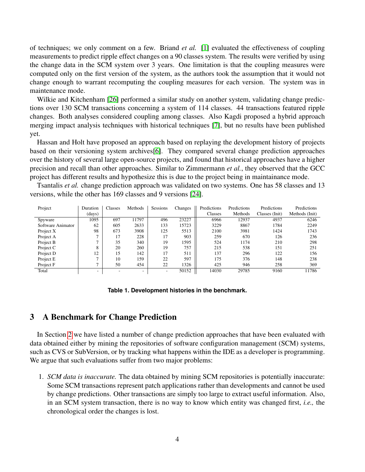of techniques; we only comment on a few. Briand *et al.* [\[1\]](#page-16-5) evaluated the effectiveness of coupling measurements to predict ripple effect changes on a 90 classes system. The results were verified by using the change data in the SCM system over 3 years. One limitation is that the coupling measures were computed only on the first version of the system, as the authors took the assumption that it would not change enough to warrant recomputing the coupling measures for each version. The system was in maintenance mode.

Wilkie and Kitchenham [\[26\]](#page-17-8) performed a similar study on another system, validating change predictions over 130 SCM transactions concerning a system of 114 classes. 44 transactions featured ripple changes. Both analyses considered coupling among classes. Also Kagdi proposed a hybrid approach merging impact analysis techniques with historical techniques [\[7\]](#page-16-6), but no results have been published yet.

Hassan and Holt have proposed an approach based on replaying the development history of projects based on their versioning system archives[\[6\]](#page-16-7). They compared several change prediction approaches over the history of several large open-source projects, and found that historical approaches have a higher precision and recall than other approaches. Similar to Zimmermann *et al.*, they observed that the GCC project has different results and hypothesize this is due to the project being in maintainance mode.

Tsantalis *et al.* change prediction approach was validated on two systems. One has 58 classes and 13 versions, while the other has 169 classes and 9 versions [\[24\]](#page-17-9).

| Project           | Duration                 | Classes | Methods | <b>Sessions</b> | Changes | Predictions | Predictions | Predictions    | Predictions    |
|-------------------|--------------------------|---------|---------|-----------------|---------|-------------|-------------|----------------|----------------|
|                   | (days)                   |         |         |                 |         | Classes     | Methods     | Classes (Init) | Methods (Init) |
| Spyware           | 1095                     | 697     | 11797   | 496             | 23227   | 6966        | 12937       | 4937           | 6246           |
| Software Animator | 62                       | 605     | 2633    | 133             | 15723   | 3229        | 8867        | 1784           | 2249           |
| Project X         | 98                       | 673     | 3908    | 125             | 5513    | 2100        | 3981        | 1424           | 1743           |
| Project A         | −                        | 17      | 228     | 17              | 903     | 259         | 670         | 126            | 236            |
| Project B         | $\mathbf{r}$             | 35      | 340     | 19              | 1595    | 524         | 1174        | 210            | 298            |
| Project C         | 8                        | 20      | 260     | 19              | 757     | 215         | 538         | 151            | 251            |
| Project D         | 12                       | 15      | 142     | 17              | 511     | 137         | 296         | 122            | 156            |
| Project E         | $\overline{ }$           | 10      | 159     | 22              | 597     | 175         | 376         | 148            | 238            |
| Project F         | ⇁                        | 50      | 454     | 22              | 1326    | 425         | 946         | 258            | 369            |
| Total             | $\overline{\phantom{a}}$ |         | ٠       | ۰               | 50152   | 14030       | 29785       | 9160           | 11786          |

#### <span id="page-3-1"></span>**Table 1. Development histories in the benchmark.**

### <span id="page-3-0"></span>3 A Benchmark for Change Prediction

In Section [2](#page-2-0) we have listed a number of change prediction approaches that have been evaluated with data obtained either by mining the repositories of software configuration management (SCM) systems, such as CVS or SubVersion, or by tracking what happens within the IDE as a developer is programming. We argue that such evaluations suffer from two major problems:

1. *SCM data is inaccurate.* The data obtained by mining SCM repositories is potentially inaccurate: Some SCM transactions represent patch applications rather than developments and cannot be used by change predictions. Other transactions are simply too large to extract useful information. Also, in an SCM system transaction, there is no way to know which entity was changed first, *i.e.,* the chronological order the changes is lost.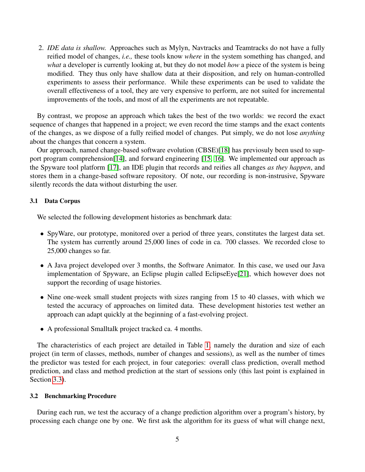2. *IDE data is shallow.* Approaches such as Mylyn, Navtracks and Teamtracks do not have a fully reified model of changes, *i.e.,* these tools know *where* in the system something has changed, and *what* a developer is currently looking at, but they do not model *how* a piece of the system is being modified. They thus only have shallow data at their disposition, and rely on human-controlled experiments to assess their performance. While these experiments can be used to validate the overall effectiveness of a tool, they are very expensive to perform, are not suited for incremental improvements of the tools, and most of all the experiments are not repeatable.

By contrast, we propose an approach which takes the best of the two worlds: we record the exact sequence of changes that happened in a project; we even record the time stamps and the exact contents of the changes, as we dispose of a fully reified model of changes. Put simply, we do not lose *anything* about the changes that concern a system.

Our approach, named change-based software evolution (CBSE)[\[18\]](#page-17-10) has previosuly been used to support program comprehension[\[14\]](#page-17-11), and forward engineering [\[15,](#page-17-12) [16\]](#page-17-13). We implemented our approach as the Spyware tool platform [\[17\]](#page-17-14), an IDE plugin that records and reifies all changes *as they happen*, and stores them in a change-based software repository. Of note, our recording is non-instrusive, Spyware silently records the data without disturbing the user.

#### 3.1 Data Corpus

We selected the following development histories as benchmark data:

- SpyWare, our prototype, monitored over a period of three years, constitutes the largest data set. The system has currently around 25,000 lines of code in ca. 700 classes. We recorded close to 25,000 changes so far.
- A Java project developed over 3 months, the Software Animator. In this case, we used our Java implementation of Spyware, an Eclipse plugin called EclipseEye[\[21\]](#page-17-15), which however does not support the recording of usage histories.
- Nine one-week small student projects with sizes ranging from 15 to 40 classes, with which we tested the accuracy of approaches on limited data. These development histories test wether an approach can adapt quickly at the beginning of a fast-evolving project.
- A professional Smalltalk project tracked ca. 4 months.

The characteristics of each project are detailed in Table [1,](#page-3-1) namely the duration and size of each project (in term of classes, methods, number of changes and sessions), as well as the number of times the predictor was tested for each project, in four categories: overall class prediction, overall method prediction, and class and method prediction at the start of sessions only (this last point is explained in Section [3.3\)](#page-5-0).

#### 3.2 Benchmarking Procedure

During each run, we test the accuracy of a change prediction algorithm over a program's history, by processing each change one by one. We first ask the algorithm for its guess of what will change next,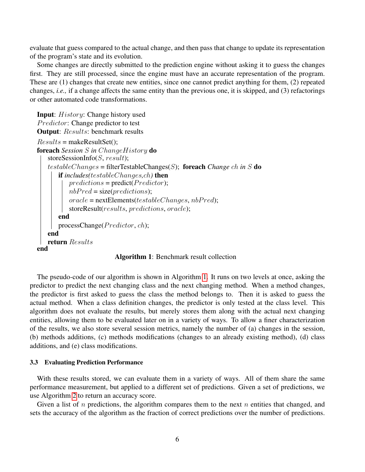evaluate that guess compared to the actual change, and then pass that change to update its representation of the program's state and its evolution.

Some changes are directly submitted to the prediction engine without asking it to guess the changes first. They are still processed, since the engine must have an accurate representation of the program. These are (1) changes that create new entities, since one cannot predict anything for them, (2) repeated changes, *i.e.,* if a change affects the same entity than the previous one, it is skipped, and (3) refactorings or other automated code transformations.

```
Input: History: Change history used
Predictor: Change predictor to test
Output: Results: benchmark results
Results = makeResultSet();
foreach Session S in ChangeHistory do
   storeSessionInfo(S, result);
   testableChanges = filterTestableChanges(S); foreach Change ch in S do
      if includes(testableChanges,ch) then
          predictions = predict(Predictor);nbPred = size(predctions);oracle = nextElements(testable Changes, nbPred);storeResult(results, predictions, oracle);
       end
      processChange(Predictor, ch);
   end
   return Results
end
```
Algorithm 1: Benchmark result collection

The pseudo-code of our algorithm is shown in Algorithm [1.](#page-5-1) It runs on two levels at once, asking the predictor to predict the next changing class and the next changing method. When a method changes, the predictor is first asked to guess the class the method belongs to. Then it is asked to guess the actual method. When a class definition changes, the predictor is only tested at the class level. This algorithm does not evaluate the results, but merely stores them along with the actual next changing entities, allowing them to be evaluated later on in a variety of ways. To allow a finer characterization of the results, we also store several session metrics, namely the number of (a) changes in the session, (b) methods additions, (c) methods modifications (changes to an already existing method), (d) class additions, and (e) class modifications.

#### <span id="page-5-0"></span>3.3 Evaluating Prediction Performance

With these results stored, we can evaluate them in a variety of ways. All of them share the same performance measurement, but applied to a different set of predictions. Given a set of predictions, we use Algorithm [2](#page-5-2) to return an accuracy score.

<span id="page-5-2"></span>Given a list of  $n$  predictions, the algorithm compares them to the next  $n$  entities that changed, and sets the accuracy of the algorithm as the fraction of correct predictions over the number of predictions.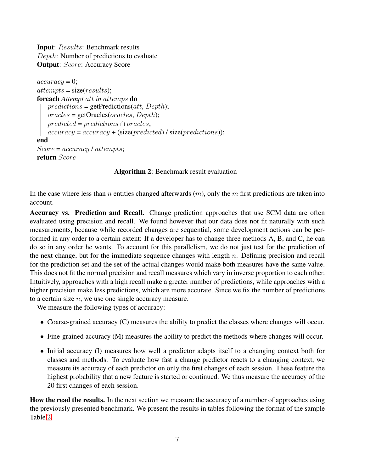Input: Results: Benchmark results Depth: Number of predictions to evaluate **Output:** Score: Accuracy Score

```
accuracy = 0;attempts = size(results);foreach Attempt att in attemps do
   predictions = getPredictions(att, Depth);oracles = getOracles(oracles, Depth);predicted = predictions \cap oracles;accuracy = accuracy + (size(predicted) / size(predictions);end
Score = accuracy / attempts;return Score
```
### Algorithm 2: Benchmark result evaluation

In the case where less than n entities changed afterwards  $(m)$ , only the m first predictions are taken into account.

Accuracy vs. Prediction and Recall. Change prediction approaches that use SCM data are often evaluated using precision and recall. We found however that our data does not fit naturally with such measurements, because while recorded changes are sequential, some development actions can be performed in any order to a certain extent: If a developer has to change three methods A, B, and C, he can do so in any order he wants. To account for this parallelism, we do not just test for the prediction of the next change, but for the immediate sequence changes with length  $n$ . Defining precision and recall for the prediction set and the set of the actual changes would make both measures have the same value. This does not fit the normal precision and recall measures which vary in inverse proportion to each other. Intuitively, approaches with a high recall make a greater number of predictions, while approaches with a higher precision make less predictions, which are more accurate. Since we fix the number of predictions to a certain size  $n$ , we use one single accuracy measure.

We measure the following types of accuracy:

- Coarse-grained accuracy (C) measures the ability to predict the classes where changes will occur.
- Fine-grained accuracy (M) measures the ability to predict the methods where changes will occur.
- Initial accuracy (I) measures how well a predictor adapts itself to a changing context both for classes and methods. To evaluate how fast a change predictor reacts to a changing context, we measure its accuracy of each predictor on only the first changes of each session. These feature the highest probability that a new feature is started or continued. We thus measure the accuracy of the 20 first changes of each session.

How the read the results. In the next section we measure the accuracy of a number of approaches using the previously presented benchmark. We present the results in tables following the format of the sample Table [2.](#page-7-1)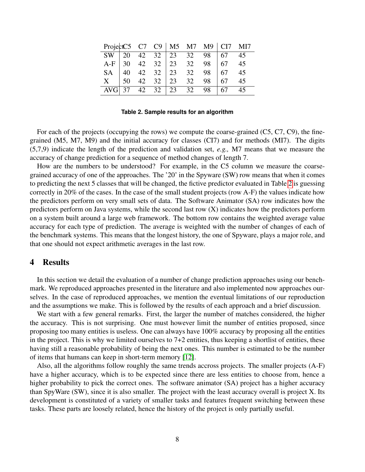|                                                                                                                      |  |  |  | ProjectC5 C7 C9   M5 M7 M9   CI7 MI7 |    |
|----------------------------------------------------------------------------------------------------------------------|--|--|--|--------------------------------------|----|
|                                                                                                                      |  |  |  |                                      |    |
|                                                                                                                      |  |  |  |                                      |    |
|                                                                                                                      |  |  |  |                                      |    |
| 8W 20 42 32 23 32 98 67 45<br>A-F 30 42 32 23 32 98 67 45<br>SA 40 42 32 23 32 98 67 45<br>X 50 42 32 23 32 98 67 45 |  |  |  |                                      |    |
| AVG                                                                                                                  |  |  |  | 37 42 32 23 32 98 67                 | 45 |

<span id="page-7-1"></span>**Table 2. Sample results for an algorithm**

For each of the projects (occupying the rows) we compute the coarse-grained (C5, C7, C9), the finegrained (M5, M7, M9) and the initial accuracy for classes (CI7) and for methods (MI7). The digits (5,7,9) indicate the length of the prediction and validation set, *e.g.,* M7 means that we measure the accuracy of change prediction for a sequence of method changes of length 7.

How are the numbers to be understood? For example, in the C5 column we measure the coarsegrained accuracy of one of the approaches. The '20' in the Spyware (SW) row means that when it comes to predicting the next 5 classes that will be changed, the fictive predictor evaluated in Table [2](#page-7-1) is guessing correctly in 20% of the cases. In the case of the small student projects (row A-F) the values indicate how the predictors perform on very small sets of data. The Software Animator (SA) row indicates how the predictors perform on Java systems, while the second last row (X) indicates how the predictors perform on a system built around a large web framework. The bottom row contains the weighted average value accuracy for each type of prediction. The average is weighted with the number of changes of each of the benchmark systems. This means that the longest history, the one of Spyware, plays a major role, and that one should not expect arithmetic averages in the last row.

### <span id="page-7-0"></span>4 Results

In this section we detail the evaluation of a number of change prediction approaches using our benchmark. We reproduced approaches presented in the literature and also implemented now approaches ourselves. In the case of reproduced approaches, we mention the eventual limitations of our reproduction and the assumptions we make. This is followed by the results of each approach and a brief discussion.

We start with a few general remarks. First, the larger the number of matches considered, the higher the accuracy. This is not surprising. One must however limit the number of entities proposed, since proposing too many entities is useless. One can always have 100% accuracy by proposing all the entities in the project. This is why we limited ourselves to  $7+2$  entities, thus keeping a shortlist of entities, these having still a reasonable probability of being the next ones. This number is estimated to be the number of items that humans can keep in short-term memory [\[12\]](#page-17-16).

Also, all the algorithms follow roughly the same trends accross projects. The smaller projects (A-F) have a higher accuracy, which is to be expected since there are less entities to choose from, hence a higher probability to pick the correct ones. The software animator (SA) project has a higher accuracy than SpyWare (SW), since it is also smaller. The project with the least accuracy overall is project X. Its development is constituted of a variety of smaller tasks and features frequent switching between these tasks. These parts are loosely related, hence the history of the project is only partially useful.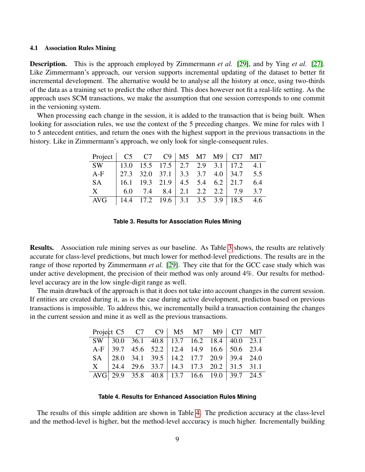#### 4.1 Association Rules Mining

Description. This is the approach employed by Zimmermann *et al.* [\[29\]](#page-17-2), and by Ying *et al.* [\[27\]](#page-17-3). Like Zimmermann's approach, our version supports incremental updating of the dataset to better fit incremental development. The alternative would be to analyse all the history at once, using two-thirds of the data as a training set to predict the other third. This does however not fit a real-life setting. As the approach uses SCM transactions, we make the assumption that one session corresponds to one commit in the versioning system.

When processing each change in the session, it is added to the transaction that is being built. When looking for association rules, we use the context of the 5 preceding changes. We mine for rules with 1 to 5 antecedent entities, and return the ones with the highest support in the previous transactions in the history. Like in Zimmermann's approach, we only look for single-consequent rules.

| Project   C5 C7 C9   M5 M7 M9   C17 M17 |                                                                                                                 |  |  |  |  |
|-----------------------------------------|-----------------------------------------------------------------------------------------------------------------|--|--|--|--|
| SW -                                    | 13.0 15.5 17.5   2.7 2.9 3.1   17.2 4.1                                                                         |  |  |  |  |
| $A-F$                                   | 27.3 32.0 37.1   3.3 3.7 4.0   34.7 5.5                                                                         |  |  |  |  |
| SA.                                     | 16.1 19.3 21.9   4.5 5.4 6.2   21.7 6.4                                                                         |  |  |  |  |
| $\mathbf{X}$                            | $\begin{array}{ c c c c c c c c c } \hline 6.0 & 7.4 & 8.4 & 2.1 & 2.2 & 2.2 & 7.9 & 3.7 \\ \hline \end{array}$ |  |  |  |  |
| AVG                                     | 14.4 17.2 19.6   3.1 3.5 3.9   18.5 4.6                                                                         |  |  |  |  |

#### <span id="page-8-0"></span>**Table 3. Results for Association Rules Mining**

Results. Association rule mining serves as our baseline. As Table [3](#page-8-0) shows, the results are relatively accurate for class-level predictions, but much lower for method-level predictions. The results are in the range of those reported by Zimmermann *et al.* [\[29\]](#page-17-2). They cite that for the GCC case study which was under active development, the precision of their method was only around 4%. Our results for methodlevel accuracy are in the low single-digit range as well.

The main drawback of the approach is that it does not take into account changes in the current session. If entities are created during it, as is the case during active development, prediction based on previous transactions is impossible. To address this, we incrementally build a transaction containing the changes in the current session and mine it as well as the previous transactions.

|  |  | Project C5 C7 C9   M5 M7 M9   CI7 MI7                                           |  |  |
|--|--|---------------------------------------------------------------------------------|--|--|
|  |  | $SW$ 30.0 36.1 40.8 13.7 16.2 18.4 40.0 23.1                                    |  |  |
|  |  | A-F   39.7 45.6 52.2   12.4 14.9 16.6   50.6 23.4                               |  |  |
|  |  | SA 28.0 34.1 39.5 14.2 17.7 20.9 39.4 24.0                                      |  |  |
|  |  | $X = \begin{bmatrix} 24.4 & 29.6 & 33.7 \end{bmatrix}$ 14.3 17.3 20.2 31.5 31.1 |  |  |
|  |  | AVG 29.9 35.8 40.8 13.7 16.6 19.0 39.7 24.5                                     |  |  |

#### <span id="page-8-1"></span>**Table 4. Results for Enhanced Association Rules Mining**

The results of this simple addition are shown in Table [4.](#page-8-1) The prediction accuracy at the class-level and the method-level is higher, but the method-level acccuracy is much higher. Incrementally building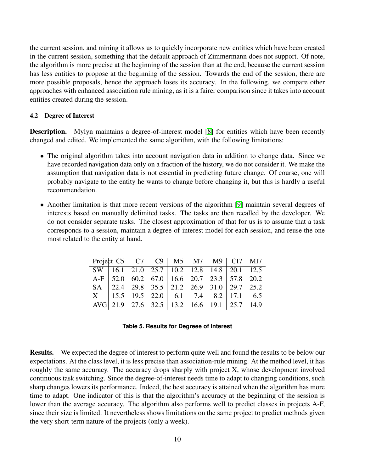the current session, and mining it allows us to quickly incorporate new entities which have been created in the current session, something that the default approach of Zimmermann does not support. Of note, the algorithm is more precise at the beginning of the session than at the end, because the current session has less entities to propose at the beginning of the session. Towards the end of the session, there are more possible proposals, hence the approach loses its accuracy. In the following, we compare other approaches with enhanced association rule mining, as it is a fairer comparison since it takes into account entities created during the session.

#### 4.2 Degree of Interest

Description. Mylyn maintains a degree-of-interest model [\[8\]](#page-16-8) for entities which have been recently changed and edited. We implemented the same algorithm, with the following limitations:

- The original algorithm takes into account navigation data in addition to change data. Since we have recorded navigation data only on a fraction of the history, we do not consider it. We make the assumption that navigation data is not essential in predicting future change. Of course, one will probably navigate to the entity he wants to change before changing it, but this is hardly a useful recommendation.
- Another limitation is that more recent versions of the algorithm [\[9\]](#page-17-4) maintain several degrees of interests based on manually delimited tasks. The tasks are then recalled by the developer. We do not consider separate tasks. The closest approximation of that for us is to assume that a task corresponds to a session, maintain a degree-of-interest model for each session, and reuse the one most related to the entity at hand.

|  | Project C5 C7 C9   M5 M7 M9   CI7 MI7             |  |  |  |
|--|---------------------------------------------------|--|--|--|
|  | SW 16.1 21.0 25.7 10.2 12.8 14.8 20.1 12.5        |  |  |  |
|  | A-F   52.0 60.2 67.0   16.6 20.7 23.3   57.8 20.2 |  |  |  |
|  | SA 22.4 29.8 35.5 21.2 26.9 31.0 29.7 25.2        |  |  |  |
|  | $X$   15.5 19.5 22.0   6.1 7.4 8.2   17.1 6.5     |  |  |  |
|  | AVG 21.9 27.6 32.5 13.2 16.6 19.1 25.7 14.9       |  |  |  |

Results. We expected the degree of interest to perform quite well and found the results to be below our expectations. At the class level, it is less precise than association-rule mining. At the method level, it has roughly the same accuracy. The accuracy drops sharply with project X, whose development involved continuous task switching. Since the degree-of-interest needs time to adapt to changing conditions, such sharp changes lowers its performance. Indeed, the best accuracy is attained when the algorithm has more time to adapt. One indicator of this is that the algorithm's accuracy at the beginning of the session is lower than the average accuracy. The algorithm also performs well to predict classes in projects A-F, since their size is limited. It nevertheless shows limitations on the same project to predict methods given the very short-term nature of the projects (only a week).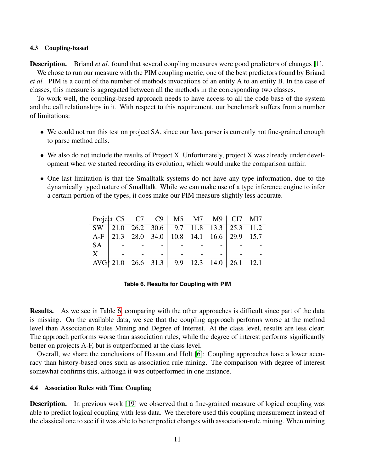#### 4.3 Coupling-based

**Description.** Briand *et al.* found that several coupling measures were good predictors of changes [\[1\]](#page-16-5).

We chose to run our measure with the PIM coupling metric, one of the best predictors found by Briand *et al.*. PIM is a count of the number of methods invocations of an entity A to an entity B. In the case of classes, this measure is aggregated between all the methods in the corresponding two classes.

To work well, the coupling-based approach needs to have access to all the code base of the system and the call relationships in it. With respect to this requirement, our benchmark suffers from a number of limitations:

- We could not run this test on project SA, since our Java parser is currently not fine-grained enough to parse method calls.
- We also do not include the results of Project X. Unfortunately, project X was already under development when we started recording its evolution, which would make the comparison unfair.
- One last limitation is that the Smalltalk systems do not have any type information, due to the dynamically typed nature of Smalltalk. While we can make use of a type inference engine to infer a certain portion of the types, it does make our PIM measure slightly less accurate.

|              |  | Project C5 C7 C9   M5 M7 M9   CI7 M17       |  |  |
|--------------|--|---------------------------------------------|--|--|
|              |  | SW 21.0 26.2 30.6 9.7 11.8 13.3 25.3 11.2   |  |  |
|              |  | A-F 21.3 28.0 34.0 10.8 14.1 16.6 29.9 15.7 |  |  |
| <b>SA</b>    |  |                                             |  |  |
| $\mathbf{X}$ |  |                                             |  |  |
|              |  | AVG* 21.0 26.6 31.3 9.9 12.3 14.0 26.1 12.1 |  |  |

#### <span id="page-10-0"></span>**Table 6. Results for Coupling with PIM**

Results. As we see in Table [6,](#page-10-0) comparing with the other approaches is difficult since part of the data is missing. On the available data, we see that the coupling approach performs worse at the method level than Association Rules Mining and Degree of Interest. At the class level, results are less clear: The approach performs worse than association rules, while the degree of interest performs significantly better on projects A-F, but is outperformed at the class level.

Overall, we share the conclusions of Hassan and Holt [\[6\]](#page-16-7): Coupling approaches have a lower accuracy than history-based ones such as association rule mining. The comparison with degree of interest somewhat confirms this, although it was outperformed in one instance.

#### 4.4 Association Rules with Time Coupling

**Description.** In previous work [\[19\]](#page-17-17) we observed that a fine-grained measure of logical coupling was able to predict logical coupling with less data. We therefore used this coupling measurement instead of the classical one to see if it was able to better predict changes with association-rule mining. When mining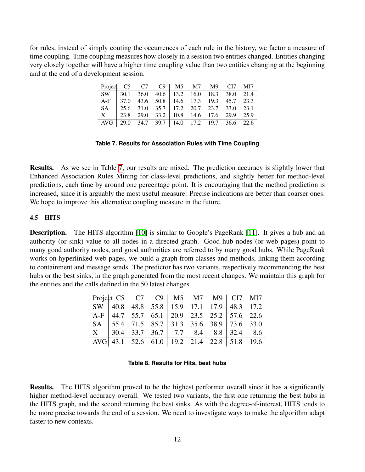for rules, instead of simply couting the occurrences of each rule in the history, we factor a measure of time coupling. Time coupling measures how closely in a session two entities changed. Entities changing very closely together will have a higher time coupling value than two entities changing at the beginning and at the end of a development session.

| Project C5 C7 C9   M5 M7 M9   CI7 MI7       |  |                                                                                 |  |  |  |
|---------------------------------------------|--|---------------------------------------------------------------------------------|--|--|--|
|                                             |  | SW 30.1 36.0 40.6 13.2 16.0 18.3 38.0 21.4                                      |  |  |  |
| A-F 37.0 43.6 50.8 14.6 17.3 19.3 45.7 23.3 |  |                                                                                 |  |  |  |
|                                             |  | SA 25.6 31.0 35.7 17.2 20.7 23.7 33.0 23.1                                      |  |  |  |
|                                             |  | $X = \begin{bmatrix} 23.8 & 29.0 & 33.2 \end{bmatrix}$ 10.8 14.6 17.6 29.9 25.9 |  |  |  |
| AVG 29.0 34.7 39.7 14.0 17.2 19.7 36.6 22.6 |  |                                                                                 |  |  |  |

#### <span id="page-11-0"></span>**Table 7. Results for Association Rules with Time Coupling**

Results. As we see in Table [7,](#page-11-0) our results are mixed. The prediction accuracy is slightly lower that Enhanced Association Rules Mining for class-level predictions, and slightly better for method-level predictions, each time by around one percentage point. It is encouraging that the method prediction is increased, since it is arguably the most useful measure: Precise indications are better than coarser ones. We hope to improve this alternative coupling measure in the future.

#### 4.5 HITS

**Description.** The HITS algorithm [\[10\]](#page-17-18) is similar to Google's PageRank [\[11\]](#page-17-19). It gives a hub and an authority (or sink) value to all nodes in a directed graph. Good hub nodes (or web pages) point to many good authority nodes, and good authorities are referred to by many good hubs. While PageRank works on hyperlinked web pages, we build a graph from classes and methods, linking them according to containment and message sends. The predictor has two variants, respectively recommending the best hubs or the best sinks, in the graph generated from the most recent changes. We maintain this graph for the entities and the calls defined in the 50 latest changes.

| Project C5 C7 C9   M5 M7 M9   CI7 MI7                           |                                                   |  |  |  |
|-----------------------------------------------------------------|---------------------------------------------------|--|--|--|
|                                                                 | SW 40.8 48.8 55.8 15.9 17.1 17.9 48.3 17.2        |  |  |  |
|                                                                 | A-F   44.7 55.7 65.1   20.9 23.5 25.2   57.6 22.6 |  |  |  |
|                                                                 | SA   55.4 71.5 85.7   31.3 35.6 38.9   73.6 33.0  |  |  |  |
|                                                                 | $X$   30.4 33.7 36.7   7.7 8.4 8.8   32.4 8.6     |  |  |  |
| $\overline{\text{AVG}}$ 43.1 52.6 61.0 19.2 21.4 22.8 51.8 19.6 |                                                   |  |  |  |

#### **Table 8. Results for Hits, best hubs**

Results. The HITS algorithm proved to be the highest performer overall since it has a significantly higher method-level accuracy overall. We tested two variants, the first one returning the best hubs in the HITS graph, and the second returning the best sinks. As with the degree-of-interest, HITS tends to be more precise towards the end of a session. We need to investigate ways to make the algorithm adapt faster to new contexts.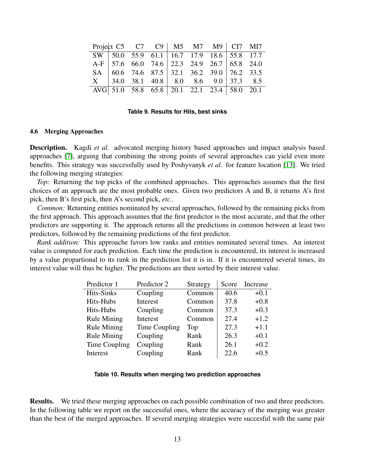|  |  |  | Project C5 C7 C9   M5 M7 M9   CI7 MI7                                                                                                                                         |  |
|--|--|--|-------------------------------------------------------------------------------------------------------------------------------------------------------------------------------|--|
|  |  |  | SW 50.0 55.9 61.1 16.7 17.9 18.6 55.8 17.7                                                                                                                                    |  |
|  |  |  | A-F   57.6 66.0 74.6   22.3 24.9 26.7   65.8 24.0                                                                                                                             |  |
|  |  |  | SA $\begin{array}{ c c c c c c c c c } \text{SA} & \text{60.6} & \text{74.6} & \text{87.5} & \text{32.1} & \text{36.2} & \text{39.0} & \text{76.2} & \text{33.5} \end{array}$ |  |
|  |  |  | $X = \begin{bmatrix} 34.0 & 38.1 & 40.8 \end{bmatrix}$ 8.0 8.6 9.0 37.3 8.5                                                                                                   |  |
|  |  |  | AVG 51.0 58.8 65.8 20.1 22.1 23.4 58.0 20.1                                                                                                                                   |  |

**Table 9. Results for Hits, best sinks**

#### 4.6 Merging Approaches

**Description.** Kagdi *et al.* advocated merging history based approaches and impact analysis based approaches [\[7\]](#page-16-6), arguing that combining the strong points of several approaches can yield even more benefits. This strategy was successfully used by Poshyvanyk *et al.* for feature location [\[13\]](#page-17-20). We tried the following merging strategies:

*Top:* Returning the top picks of the combined approaches. This approaches assumes that the first choices of an approach are the most probable ones. Given two predictors A and B, it returns A's first pick, then B's first pick, then A's second pick, *etc.*.

*Common:* Returning entities nominated by several approaches, followed by the remaining picks from the first approach. This approach assumes that the first predictor is the most accurate, and that the other predictors are supporting it. The approach returns all the predictions in common between at least two predictors, followed by the remaining predictions of the first predictor.

*Rank addition:* This approache favors low ranks and entities nominated several times. An interest value is computed for each prediction. Each time the prediction is encountered, its interest is increased by a value propartional to its rank in the prediction list it is in. If it is encountered several times, its interest value will thus be higher. The predictions are then sorted by their interest value.

| Predictor 1        | Predictor 2   | Strategy | Score | Increase |
|--------------------|---------------|----------|-------|----------|
| <b>Hits-Sinks</b>  | Coupling      | Common   | 40.6  | $+0.1$   |
| Hits-Hubs          | Interest      | Common   | 37.8  | $+0.8$   |
| Hits-Hubs          | Coupling      | Common   | 37.3  | $+0.3$   |
| <b>Rule Mining</b> | Interest      | Common   | 27.4  | $+1.2$   |
| <b>Rule Mining</b> | Time Coupling | Top      | 27.3  | $+1.1$   |
| <b>Rule Mining</b> | Coupling      | Rank     | 26.3  | $+0.1$   |
| Time Coupling      | Coupling      | Rank     | 26.1  | $+0.2$   |
| Interest           | Coupling      | Rank     | 22.6  | $+0.5$   |

#### **Table 10. Results when merging two prediction approaches**

Results. We tried these merging approaches on each possible combination of two and three predictors. In the following table we report on the successful ones, where the accuracy of the merging was greater than the best of the merged approaches. If several merging strategies were succesful with the same pair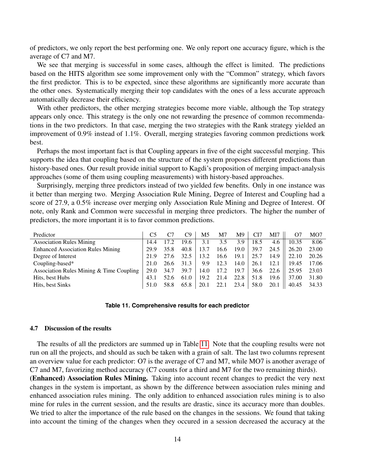of predictors, we only report the best performing one. We only report one accuracy figure, which is the average of C7 and M7.

We see that merging is successful in some cases, although the effect is limited. The predictions based on the HITS algorithm see some improvement only with the "Common" strategy, which favors the first predictor. This is to be expected, since these algorithms are significantly more accurate than the other ones. Systematically merging their top candidates with the ones of a less accurate approach automatically decrease their efficiency.

With other predictors, the other merging strategies become more viable, although the Top strategy appears only once. This strategy is the only one not rewarding the presence of common recommendations in the two predictors. In that case, merging the two strategies with the Rank strategy yielded an improvement of 0.9% instead of 1.1%. Overall, merging strategies favoring common predictions work best.

Perhaps the most important fact is that Coupling appears in five of the eight successful merging. This supports the idea that coupling based on the structure of the system proposes different predictions than history-based ones. Our result provide initial support to Kagdi's proposition of merging impact-analysis approaches (some of them using coupling measurements) with history-based approaches.

Surprisingly, merging three predictors instead of two yielded few benefits. Only in one instance was it better than merging two. Merging Association Rule Mining, Degree of Interest and Coupling had a score of 27.9, a 0.5% increase over merging only Association Rule Mining and Degree of Interest. Of note, only Rank and Common were successful in merging three predictors. The higher the number of predictors, the more important it is to favor common predictions.

| Predictor                                |      |      | C9   | M5   | M7   | M9   | CI7  | MI7  |       | MO7   |
|------------------------------------------|------|------|------|------|------|------|------|------|-------|-------|
| <b>Association Rules Mining</b>          | 14.4 |      | 19.6 | 3.1  | 3.5  | 3.9  | 18.5 | 4.6  | 10.35 | 8.06  |
| <b>Enhanced Association Rules Mining</b> | 29.9 | 35.8 | 40.8 | 13.7 | 16.6 | 19.0 | 39.7 | 24.5 | 26.20 | 23.00 |
| Degree of Interest                       | 21.9 | '.6  | 32.5 | 13.2 | 16.6 | 19.1 | 25.7 | 14.9 | 22.10 | 20.26 |
| Coupling-based*                          | 21.0 | 26.6 | 31.3 | 9.9  | 12.3 | 14.0 | 26.1 | 12.1 | 19.45 | 17.06 |
| Association Rules Mining & Time Coupling | 29.0 | 34.7 | 39.7 | 14.0 | 17.2 | 19.7 | 36.6 | 22.6 | 25.95 | 23.03 |
| Hits, best Hubs                          | 43.1 | 52.6 | 61.0 | 19.2 | 21.4 | 22.8 | 51.8 | 19.6 | 37.00 | 31.80 |
| Hits, best Sinks                         | 51.0 | 58.8 | 65.8 | 20.1 | 22.1 | 23.4 | 58.0 | 20.1 | 40.45 | 34.33 |

#### <span id="page-13-0"></span>**Table 11. Comprehensive results for each predictor**

#### 4.7 Discussion of the results

The results of all the predictors are summed up in Table [11.](#page-13-0) Note that the coupling results were not run on all the projects, and should as such be taken with a grain of salt. The last two columns represent an overview value for each predictor: O7 is the average of C7 and M7, while MO7 is another average of C7 and M7, favorizing method accuracy (C7 counts for a third and M7 for the two remaining thirds).

(Enhanced) Association Rules Mining. Taking into account recent changes to predict the very next changes in the system is important, as shown by the difference between association rules mining and enhanced association rules mining. The only addition to enhanced association rules mining is to also mine for rules in the current session, and the results are drastic, since its accuracy more than doubles. We tried to alter the importance of the rule based on the changes in the sessions. We found that taking into account the timing of the changes when they occured in a session decreased the accuracy at the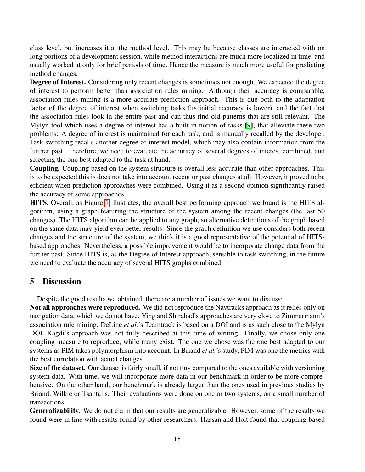class level, but increases it at the method level. This may be because classes are interacted with on long portions of a development session, while method interactions are much more localized in time, and usually worked at only for brief periods of time. Hence the measure is much more useful for predicting method changes.

Degree of Interest. Considering only recent changes is sometimes not enough. We expected the degree of interest to perform better than association rules mining. Although their accuracy is comparable, association rules mining is a more accurate prediction approach. This is due both to the adaptation factor of the degree of interest when switching tasks (its initial accuracy is lower), and the fact that the association rules look in the entire past and can thus find old patterns that are still relevant. The Mylyn tool which uses a degree of interest has a built-in notion of tasks [\[9\]](#page-17-4), that alleviate these two problems: A degree of interest is maintained for each task, and is manually recalled by the developer. Task switching recalls another degree of interest model, which may also contain information from the further past. Therefore, we need to evaluate the accuracy of several degrees of interest combined, and selecting the one best adapted to the task at hand.

Coupling. Coupling based on the system structure is overall less accurate than other approaches. This is to be expected this is does not take into account recent or past changes at all. However, it proved to be efficient when prediction approaches were combined. Using it as a second opinion significantly raised the accuracy of some approaches.

HITS. Overall, as Figure [1](#page-15-0) illustrates, the overall best performing approach we found is the HITS algorithm, using a graph featuring the structure of the system among the recent changes (the last 50 changes). The HITS algorithm can be applied to any graph, so alternative definitions of the graph based on the same data may yield even better results. Since the graph definition we use considers both recent changes and the structure of the system, we think it is a good representative of the potential of HITSbased approaches. Nevertheless, a possible improvement would be to incorporate change data from the further past. Since HITS is, as the Degree of Interest approach, sensible to task switching, in the future we need to evaluate the accuracy of several HITS graphs combined.

# <span id="page-14-0"></span>5 Discussion

Despite the good results we obtained, there are a number of issues we want to discuss:

Not all approaches were reproduced. We did not reproduce the Navtracks approach as it relies only on navigation data, which we do not have. Ying and Shirabad's approaches are very close to Zimmermann's association rule mining. DeLine *et al.*'s Teamtrack is based on a DOI and is as such close to the Mylyn DOI. Kagdi's approach was not fully described at this time of writing. Finally, we chose only one coupling measure to reproduce, while many exist. The one we chose was the one best adapted to our systems as PIM takes polymorphism into account. In Briand *et al.*'s study, PIM was one the metrics with the best correlation with actual changes.

Size of the dataset. Our dataset is fairly small, if not tiny compared to the ones available with versioning system data. With time, we will incorporate more data in our benchmark in order to be more comprehensive. On the other hand, our benchmark is already larger than the ones used in previous studies by Briand, Wilkie or Tsantalis. Their evaluations were done on one or two systems, on a small number of transactions.

Generalizability. We do not claim that our results are generalizable. However, some of the results we found were in line with results found by other researchers. Hassan and Holt found that coupling-based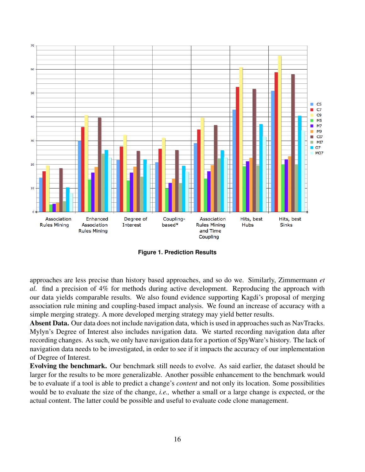

<span id="page-15-0"></span>**Figure 1. Prediction Results**

approaches are less precise than history based approaches, and so do we. Similarly, Zimmermann *et al.* find a precision of 4% for methods during active development. Reproducing the approach with our data yields comparable results. We also found evidence supporting Kagdi's proposal of merging association rule mining and coupling-based impact analysis. We found an increase of accuracy with a simple merging strategy. A more developed merging strategy may yield better results.

Absent Data. Our data does not include navigation data, which is used in approaches such as NavTracks. Mylyn's Degree of Interest also includes navigation data. We started recording navigation data after recording changes. As such, we only have navigation data for a portion of SpyWare's history. The lack of navigation data needs to be investigated, in order to see if it impacts the accuracy of our implementation of Degree of Interest.

Evolving the benchmark. Our benchmark still needs to evolve. As said earlier, the dataset should be larger for the results to be more generalizable. Another possible enhancement to the benchmark would be to evaluate if a tool is able to predict a change's *content* and not only its location. Some possibilities would be to evaluate the size of the change, *i.e.,* whether a small or a large change is expected, or the actual content. The latter could be possible and useful to evaluate code clone management.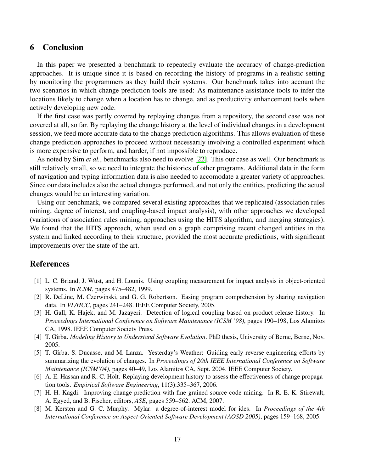# <span id="page-16-1"></span>6 Conclusion

In this paper we presented a benchmark to repeatedly evaluate the accuracy of change-prediction approaches. It is unique since it is based on recording the history of programs in a realistic setting by monitoring the programmers as they build their systems. Our benchmark takes into account the two scenarios in which change prediction tools are used: As maintenance assistance tools to infer the locations likely to change when a location has to change, and as productivity enhancement tools when actively developing new code.

If the first case was partly covered by replaying changes from a repository, the second case was not covered at all, so far. By replaying the change history at the level of individual changes in a development session, we feed more accurate data to the change prediction algorithms. This allows evaluation of these change prediction approaches to proceed without necessarily involving a controlled experiment which is more expensive to perform, and harder, if not impossible to reproduce.

As noted by Sim *et al.*, benchmarks also need to evolve [\[22\]](#page-17-6). This our case as well. Our benchmark is still relatively small, so we need to integrate the histories of other programs. Additional data in the form of navigation and typing information data is also needed to accomodate a greater variety of approaches. Since our data includes also the actual changes performed, and not only the entities, predicting the actual changes would be an interesting variation.

Using our benchmark, we compared several existing approaches that we replicated (association rules mining, degree of interest, and coupling-based impact analysis), with other approaches we developed (variations of association rules mining, approaches using the HITS algorithm, and merging strategies). We found that the HITS approach, when used on a graph comprising recent changed entities in the system and linked according to their structure, provided the most accurate predictions, with significant improvements over the state of the art.

### References

- <span id="page-16-5"></span>[1] L. C. Briand, J. Wüst, and H. Lounis. Using coupling measurement for impact analysis in object-oriented systems. In *ICSM*, pages 475–482, 1999.
- <span id="page-16-4"></span>[2] R. DeLine, M. Czerwinski, and G. G. Robertson. Easing program comprehension by sharing navigation data. In *VL/HCC*, pages 241–248. IEEE Computer Society, 2005.
- <span id="page-16-0"></span>[3] H. Gall, K. Hajek, and M. Jazayeri. Detection of logical coupling based on product release history. In *Proceedings International Conference on Software Maintenance (ICSM '98)*, pages 190–198, Los Alamitos CA, 1998. IEEE Computer Society Press.
- <span id="page-16-2"></span>[4] T. Gîrba. *Modeling History to Understand Software Evolution*. PhD thesis, University of Berne, Berne, Nov. 2005.
- <span id="page-16-3"></span>[5] T. Gîrba, S. Ducasse, and M. Lanza. Yesterday's Weather: Guiding early reverse engineering efforts by summarizing the evolution of changes. In *Proceedings of 20th IEEE International Conference on Software Maintenance (ICSM'04)*, pages 40–49, Los Alamitos CA, Sept. 2004. IEEE Computer Society.
- <span id="page-16-7"></span>[6] A. E. Hassan and R. C. Holt. Replaying development history to assess the effectiveness of change propagation tools. *Empirical Software Engineering*, 11(3):335–367, 2006.
- <span id="page-16-6"></span>[7] H. H. Kagdi. Improving change prediction with fine-grained source code mining. In R. E. K. Stirewalt, A. Egyed, and B. Fischer, editors, *ASE*, pages 559–562. ACM, 2007.
- <span id="page-16-8"></span>[8] M. Kersten and G. C. Murphy. Mylar: a degree-of-interest model for ides. In *Proceedings of the 4th International Conference on Aspect-Oriented Software Development (AOSD 2005)*, pages 159–168, 2005.